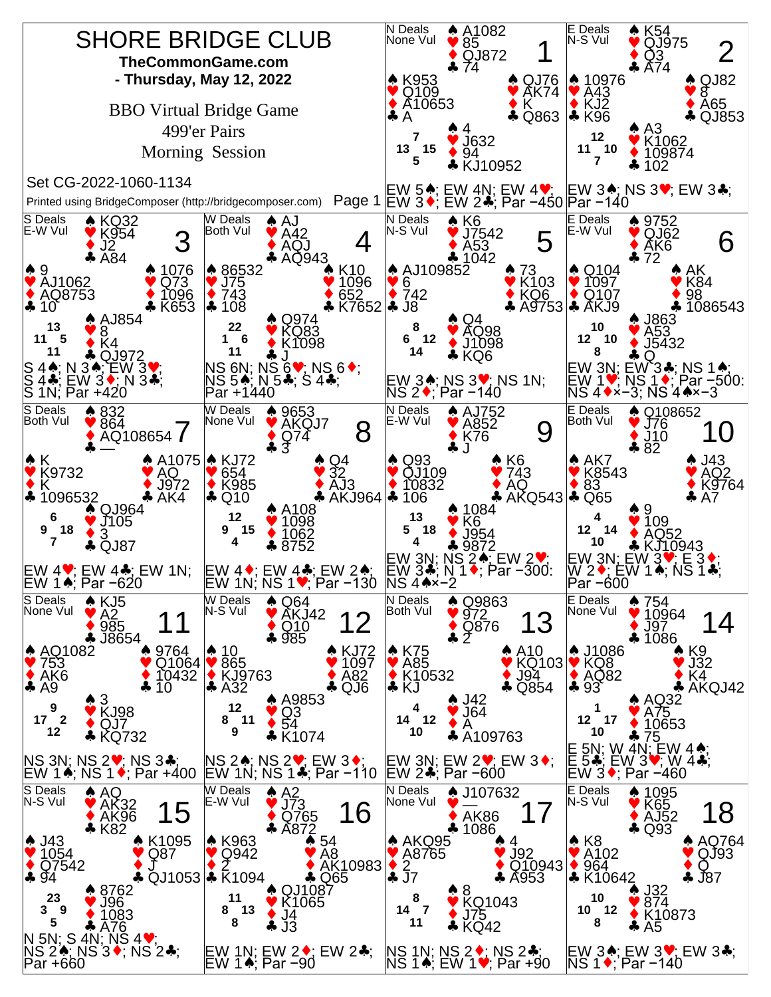